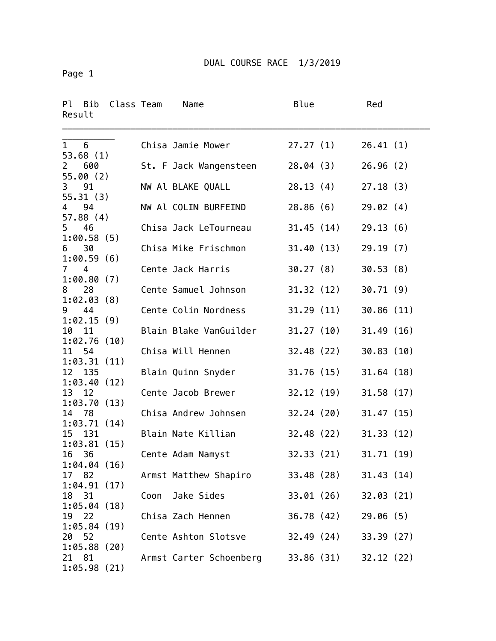Page 1

| Ρl<br>Result   | Bib                | Class Team |      | Name                    | Blue      |            | Red        |  |
|----------------|--------------------|------------|------|-------------------------|-----------|------------|------------|--|
| $\mathbf{1}$   | 6<br>53.68(1)      |            |      | Chisa Jamie Mower       |           | 27.27(1)   | 26.41(1)   |  |
| $\overline{2}$ | 600<br>55.00(2)    |            |      | St. F Jack Wangensteen  | 28.04(3)  |            | 26.96(2)   |  |
| 3              | 91<br>55.31(3)     |            |      | NW Al BLAKE QUALL       | 28.13(4)  |            | 27.18(3)   |  |
| $\overline{4}$ | 94<br>57.88(4)     |            |      | NW Al COLIN BURFEIND    | 28.86(6)  |            | 29.02(4)   |  |
| $5\quad 46$    |                    |            |      | Chisa Jack LeTourneau   |           | 31.45 (14) | 29.13(6)   |  |
| 6              | 1:00.58(5)<br>30   |            |      | Chisa Mike Frischmon    |           | 31.40 (13) | 29.19(7)   |  |
| 7              | 1:00.59(6)<br>4    |            |      | Cente Jack Harris       | 30.27(8)  |            | 30.53(8)   |  |
| 8              | 1:00.80(7)<br>28   |            |      | Cente Samuel Johnson    |           | 31.32(12)  | 30.71(9)   |  |
| 9              | 1:02.03(8)<br>44   |            |      | Cente Colin Nordness    |           | 31.29 (11) | 30.86(11)  |  |
| 10             | 1:02.15(9)<br>11   |            |      | Blain Blake VanGuilder  |           | 31.27 (10) | 31.49(16)  |  |
| 11             | 1:02.76(10)<br>54  |            |      | Chisa Will Hennen       | 32.48(22) |            | 30.83(10)  |  |
| 12             | 1:03.31(11)<br>135 |            |      | Blain Quinn Snyder      | 31.76(15) |            | 31.64(18)  |  |
| 13             | 1:03.40(12)<br>12  |            |      | Cente Jacob Brewer      | 32.12(19) |            | 31.58(17)  |  |
| 14 78          | 1:03.70(13)        |            |      | Chisa Andrew Johnsen    |           | 32.24 (20) | 31.47(15)  |  |
| 15             | 1:03.71(14)<br>131 |            |      | Blain Nate Killian      |           | 32.48 (22) | 31.33(12)  |  |
| 16             | 1:03.81(15)<br>36  |            |      | Cente Adam Namyst       | 32.33(21) |            | 31.71(19)  |  |
| 17 82          | 1:04.04(16)        |            |      | Armst Matthew Shapiro   |           | 33.48 (28) | 31.43(14)  |  |
| 18 31          | 1:04.91(17)        |            | Coon | Jake Sides              |           | 33.01 (26) | 32.03(21)  |  |
| 19             | 1:05.04(18)<br>22  |            |      | Chisa Zach Hennen       |           | 36.78 (42) | 29.06(5)   |  |
| 20             | 1:05.84(19)<br>52  |            |      | Cente Ashton Slotsve    |           | 32.49 (24) | 33.39 (27) |  |
| 21 81          | 1:05.88(20)        |            |      | Armst Carter Schoenberg |           | 33.86 (31) | 32.12(22)  |  |
|                | 1:05.98(21)        |            |      |                         |           |            |            |  |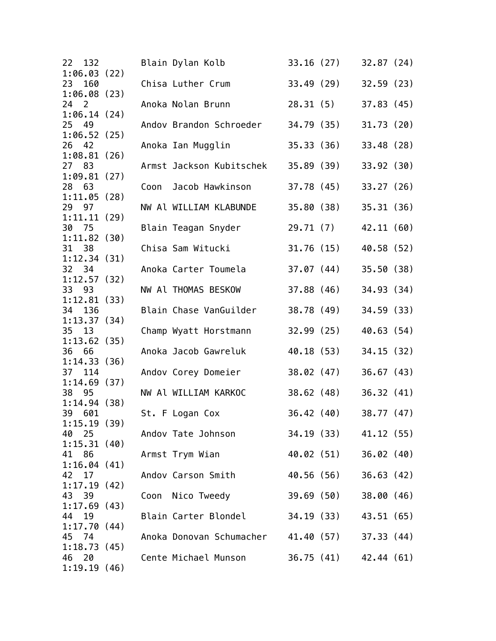| 22 132                   |      | Blain Dylan Kolb                               |            | 33.16 (27)            | 32.87(24)  |  |
|--------------------------|------|------------------------------------------------|------------|-----------------------|------------|--|
| 1:06.03(22)<br>23<br>160 |      | Chisa Luther Crum                              |            | 33.49 (29)            | 32.59(23)  |  |
| 1:06.08(23)<br>24 2      |      | Anoka Nolan Brunn                              |            | 28.31(5)              | 37.83(45)  |  |
| 1:06.14(24)<br>25 49     |      | Andov Brandon Schroeder                        |            | 34.79 (35)            | 31.73(20)  |  |
| 1:06.52(25)<br>26<br>42  |      | Anoka Ian Mugglin                              | 35.33(36)  |                       | 33.48(28)  |  |
| 1:08.81(26)<br>27 83     |      | Armst Jackson Kubitschek                       | 35.89(39)  |                       | 33.92(30)  |  |
| 1:09.81(27)<br>28 63     | Coon | Jacob Hawkinson                                | 37.78 (45) |                       | 33.27(26)  |  |
| 1:11.05(28)              |      |                                                |            |                       |            |  |
| 29 97<br>1:11.11(29)     |      | NW Al WILLIAM KLABUNDE                         |            | 35.80 (38)            | 35.31(36)  |  |
| 30 75<br>1:11.82(30)     |      | Blain Teagan Snyder                            |            | 29.71 (7) 42.11 (60)  |            |  |
| 31 38<br>1:12.34(31)     |      | Chisa Sam Witucki                              |            | 31.76 (15)            | 40.58 (52) |  |
| 32 34<br>1:12.57(32)     |      | Anoka Carter Toumela                           |            | 37.07 (44)            | 35.50(38)  |  |
| 33 93                    |      | NW Al THOMAS BESKOW                            |            | 37.88 (46)            | 34.93 (34) |  |
| 1:12.81(33)<br>34<br>136 |      | Blain Chase VanGuilder                         |            | 38.78 (49)            | 34.59 (33) |  |
| 1:13.37(34)<br>35<br>13  |      | Champ Wyatt Horstmann                          | 32.99(25)  |                       | 40.63 (54) |  |
| 1:13.62(35)<br>36 66     |      | Anoka Jacob Gawreluk                           | 40.18 (53) |                       | 34.15 (32) |  |
| 1:14.33(36)<br>114<br>37 |      | Andov Corey Domeier                            |            | 38.02 (47)            | 36.67(43)  |  |
| 1:14.69(37)              |      |                                                |            |                       |            |  |
| 38<br>95<br>1:14.94(38)  |      | NW Al WILLIAM KARKOC                           |            | 38.62 (48)            | 36.32(41)  |  |
| 39<br>601<br>1:15.19(39) |      | St. F Logan Cox                                |            | 36.42 (40)            | 38.77 (47) |  |
| 40 25<br>1:15.31(40)     |      | Andov Tate Johnson                             |            | 34.19 (33) 41.12 (55) |            |  |
| 41 86<br>1:16.04(41)     |      | Armst Trym Wian                                |            | 40.02 (51) 36.02 (40) |            |  |
| 42<br>17<br>1:17.19(42)  |      | Andov Carson Smith                             |            | 40.56 (56) 36.63 (42) |            |  |
| 43<br>39                 |      | Coon Nico Tweedy                               |            | 39.69 (50) 38.00 (46) |            |  |
| 1:17.69(43)<br>44<br>19  |      | Blain Carter Blondel                           |            | 34.19 (33) 43.51 (65) |            |  |
| 1:17.70(44)<br>45 74     |      | Anoka Donovan Schumacher 41.40 (57) 37.33 (44) |            |                       |            |  |
| 1:18.73(45)<br>46<br>20  |      | Cente Michael Munson                           |            | 36.75 (41) 42.44 (61) |            |  |
| 1:19.19(46)              |      |                                                |            |                       |            |  |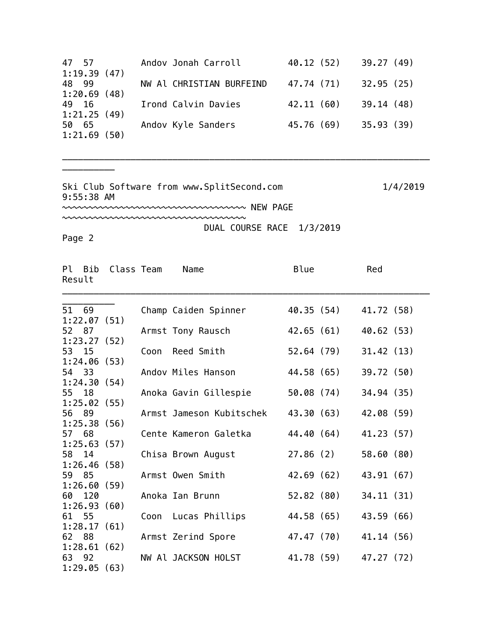|                                                                               | 40.12 (52)  | 39.27(49)                                                                                    |
|-------------------------------------------------------------------------------|-------------|----------------------------------------------------------------------------------------------|
|                                                                               |             |                                                                                              |
|                                                                               | 47.74 (71)  | 32.95(25)                                                                                    |
|                                                                               |             |                                                                                              |
|                                                                               | 42.11(60)   | 39.14(48)                                                                                    |
|                                                                               |             |                                                                                              |
|                                                                               | 45.76 (69)  | 35.93(39)                                                                                    |
|                                                                               |             |                                                                                              |
| 47 57<br>1:19.39(47)<br>48 99<br>1:20.69(48)<br>49 16<br>1:21.25(49)<br>50 65 | 1:21.69(50) | Andov Jonah Carroll<br>NW Al CHRISTIAN BURFEIND<br>Irond Calvin Davies<br>Andov Kyle Sanders |

\_\_\_\_\_\_\_\_\_\_\_\_\_\_\_\_\_\_\_\_\_\_\_\_\_\_\_\_\_\_\_\_\_\_\_\_\_\_\_\_\_\_\_\_\_\_\_\_\_\_\_\_\_\_\_\_\_\_\_\_\_\_\_\_\_\_\_\_\_\_

Ski Club Software from www.SplitSecond.com 1/4/2019 9:55:38 AM ~~~~~~~~~~~~~~~~~~~~~~~~~~~~~~~~~~~ NEW PAGE

~~~~~~~~~~~~~~~~~~~~~~~~~~~~~~~~~~~ DUAL COURSE RACE 1/3/2019

Page 2

\_\_\_\_\_\_\_\_\_\_

| Result | Pl Bib | Class Team  |      | Name                     | Blue       | Red        |
|--------|--------|-------------|------|--------------------------|------------|------------|
|        | 51 69  |             |      | Champ Caiden Spinner     | 40.35 (54) | 41.72 (58) |
|        |        | 1:22.07(51) |      |                          |            |            |
| 52 87  |        |             |      | Armst Tony Rausch        | 42.65 (61) | 40.62 (53) |
|        |        | 1:23.27(52) |      |                          |            |            |
| 53 15  |        |             | Coon | Reed Smith               | 52.64 (79) | 31.42(13)  |
|        |        | 1:24.06(53) |      |                          |            |            |
| 54 33  |        |             |      | Andov Miles Hanson       | 44.58 (65) | 39.72 (50) |
|        |        | 1:24.30(54) |      |                          |            |            |
| 55 18  |        |             |      | Anoka Gavin Gillespie    | 50.08 (74) | 34.94 (35) |
|        |        | 1:25.02(55) |      |                          |            |            |
| 56 89  |        |             |      | Armst Jameson Kubitschek | 43.30 (63) | 42.08 (59) |
|        |        | 1:25.38(56) |      |                          |            |            |
| 57 68  |        |             |      | Cente Kameron Galetka    | 44.40 (64) | 41.23 (57) |
|        |        | 1:25.63(57) |      |                          |            |            |
| 58 14  |        |             |      | Chisa Brown August       | 27.86(2)   | 58.60 (80) |
|        |        | 1:26.46(58) |      |                          |            |            |
| 59     | 85     |             |      | Armst Owen Smith         | 42.69 (62) | 43.91 (67) |
|        | 120    | 1:26.60(59) |      |                          | 52.82(80)  |            |
| 60 -   |        | 1:26.93(60) |      | Anoka Ian Brunn          |            | 34.11(31)  |
| 61 55  |        |             |      |                          | 44.58 (65) | 43.59 (66) |
|        |        | 1:28.17(61) |      | Coon Lucas Phillips      |            |            |
| 62 88  |        |             |      | Armst Zerind Spore       | 47.47 (70) | 41.14 (56) |
|        |        | 1:28.61(62) |      |                          |            |            |
| 63 92  |        |             |      | NW Al JACKSON HOLST      | 41.78 (59) | 47.27 (72) |
|        |        | 1:29.05(63) |      |                          |            |            |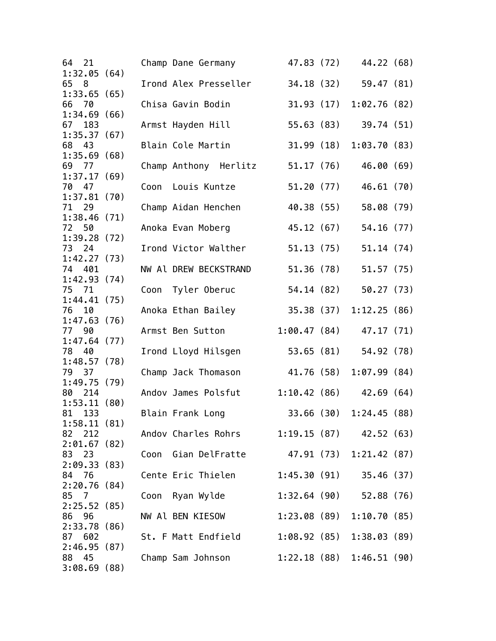| 21<br>64                |      | Champ Dane Germany                          |             |            | 47.83 (72) 44.22 (68)       |  |
|-------------------------|------|---------------------------------------------|-------------|------------|-----------------------------|--|
| 1:32.05(64)<br>65<br>8  |      | Irond Alex Presseller                       |             |            | 34.18 (32) 59.47 (81)       |  |
| 1:33.65(65)             |      |                                             |             |            |                             |  |
| 66 70<br>1:34.69(66)    |      | Chisa Gavin Bodin                           |             |            | 31.93 (17) 1:02.76 (82)     |  |
| 67 183                  |      | Armst Hayden Hill                           |             | 55.63 (83) | 39.74 (51)                  |  |
| 1:35.37(67)<br>68 43    |      | Blain Cole Martin                           | 31.99(18)   |            | 1:03.70(83)                 |  |
| 1:35.69(68)             |      |                                             |             |            |                             |  |
| 69 77                   |      | Champ Anthony Herlitz                       | 51.17(76)   |            | 46.00 (69)                  |  |
| 1:37.17(69)<br>70 47    | Coon | Louis Kuntze                                |             |            | 46.61 (70)                  |  |
| 1:37.81(70)             |      |                                             |             | 51.20 (77) |                             |  |
| 71 29                   |      | Champ Aidan Henchen                         | 40.38 (55)  |            | 58.08 (79)                  |  |
| 1:38.46(71)             |      |                                             |             |            |                             |  |
| 72 50<br>1:39.28(72)    |      | Anoka Evan Moberg                           | 45.12 (67)  |            | 54.16 (77)                  |  |
| 73<br>24                |      | Irond Victor Walther                        |             | 51.13 (75) | 51.14(74)                   |  |
| 1:42.27(73)             |      |                                             |             |            |                             |  |
| 74 401                  |      | NW Al DREW BECKSTRAND                       |             | 51.36 (78) | 51.57(75)                   |  |
| 1:42.93(74)<br>75 71    |      | Coon Tyler Oberuc                           |             | 54.14 (82) | 50.27(73)                   |  |
| 1:44.41(75)             |      |                                             |             |            |                             |  |
| 76<br>10                |      | Anoka Ethan Bailey                          | 35.38 (37)  |            | 1:12.25(86)                 |  |
| 1:47.63(76)<br>77       |      | Armst Ben Sutton                            | 1:00.47(84) |            | 47.17 (71)                  |  |
| 90<br>1:47.64(77)       |      |                                             |             |            |                             |  |
| 78<br>40                |      | Irond Lloyd Hilsgen                         |             | 53.65 (81) | 54.92 (78)                  |  |
| 1:48.57(78)             |      |                                             |             |            |                             |  |
| 79 37<br>1:49.75(79)    |      | Champ Jack Thomason                         | 41.76 (58)  |            | 1:07.99(84)                 |  |
| 80 214                  |      | Andov James Polsfut                         |             |            | $1:10.42(86)$ 42.69 (64)    |  |
| 1:53.11(80)             |      |                                             |             |            |                             |  |
| 81 133                  |      | Blain Frank Long                            |             |            | 33.66 (30) 1:24.45 (88)     |  |
| 1:58.11(81)<br>82 212   |      | Andov Charles Rohrs 1:19.15 (87) 42.52 (63) |             |            |                             |  |
| 2:01.67(82)             |      |                                             |             |            |                             |  |
| 83 23                   |      | Coon Gian DelFratte 47.91 (73) 1:21.42 (87) |             |            |                             |  |
| 2:09.33(83)             |      |                                             |             |            |                             |  |
| 76<br>84<br>2:20.76(84) |      | Cente Eric Thielen 1:45.30 (91) 35.46 (37)  |             |            |                             |  |
| 85<br>7                 |      | Coon Ryan Wylde                             |             |            | $1:32.64(90)$ 52.88 (76)    |  |
| 2:25.52(85)             |      |                                             |             |            |                             |  |
| 86<br>96                |      | NW Al BEN KIESOW                            |             |            | 1:23.08(89)1:10.70(85)      |  |
| 2:33.78(86)<br>87 602   |      | St. F Matt Endfield                         |             |            | $1:08.92(85)$ $1:38.03(89)$ |  |
| 2:46.95(87)             |      |                                             |             |            |                             |  |
| 88<br>- 45              |      | Champ Sam Johnson                           |             |            | 1:22.18(88)1:46.51(90)      |  |
| 3:08.69(88)             |      |                                             |             |            |                             |  |